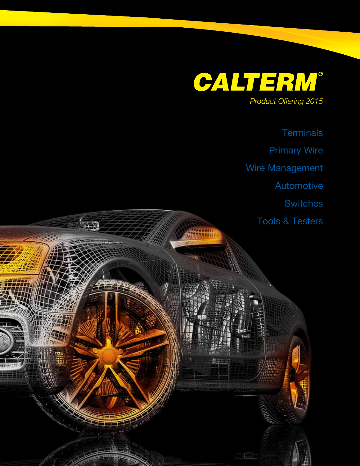

**LES** 

( 新聞

**Terminals** Primary Wire Wire Management Automotive **Switches** Tools & Testers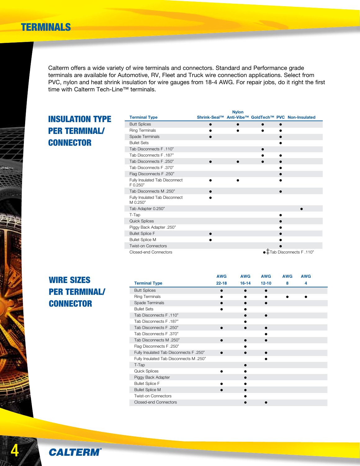## TERMINALS

Calterm offers a wide variety of wire terminals and connectors. Standard and Performance grade terminals are available for Automotive, RV, Fleet and Truck wire connection applications. Select from PVC, nylon and heat shrink insulation for wire gauges from 18-4 AWG. For repair jobs, do it right the first time with Calterm Tech-Line™ terminals.

## Insulation Type per terminal/ **CONNECTOR**

|                                            | <b>Nylon</b> |   |                                                     |
|--------------------------------------------|--------------|---|-----------------------------------------------------|
| <b>Terminal Type</b>                       |              |   | Shrink-Seal™ Anti-Vibe™ GoldTech™ PVC Non-Insulated |
| <b>Butt Splices</b>                        |              | ● |                                                     |
| Ring Terminals                             |              |   |                                                     |
| Spade Terminals                            |              |   |                                                     |
| <b>Bullet Sets</b>                         |              |   |                                                     |
| Tab Disconnects F.110"                     |              |   |                                                     |
| Tab Disconnects F.187"                     |              |   |                                                     |
| Tab Disconnects F.250"                     |              |   |                                                     |
| Tab Disconnects F.370"                     |              |   |                                                     |
| Flag Disconnects F.250"                    |              |   |                                                     |
| Fully Insulated Tab Disconnect<br>F 0.250" |              |   |                                                     |
| Tab Disconnects M.250"                     |              |   |                                                     |
| Fully Insulated Tab Disconnect<br>M 0.250" |              |   |                                                     |
| Tab Adapter 0.250"                         |              |   |                                                     |
| T-Tap                                      |              |   |                                                     |
| <b>Quick Splices</b>                       |              |   |                                                     |
| Piggy Back Adapter .250"                   |              |   |                                                     |
| <b>Bullet Splice F</b>                     |              |   |                                                     |
| <b>Bullet Splice M</b>                     |              |   |                                                     |
| <b>Twist-on Connectors</b>                 |              |   |                                                     |
| Closed-end Connectors                      |              |   | ● Tab Disconnects F .110"                           |

## WIRE SIZES per terminal/ **CONNECTOR**

|                                         | <b>AWG</b> | <b>AWG</b> | <b>AWG</b> | <b>AWG</b> | <b>AWG</b> |  |
|-----------------------------------------|------------|------------|------------|------------|------------|--|
| <b>Terminal Type</b>                    | $22 - 18$  | $16 - 14$  | $12 - 10$  | 8          | 4          |  |
| <b>Butt Splices</b>                     |            | ●          |            |            |            |  |
| <b>Ring Terminals</b>                   |            |            |            |            |            |  |
| Spade Terminals                         |            |            |            |            |            |  |
| <b>Bullet Sets</b>                      |            |            |            |            |            |  |
| Tab Disconnects F.110"                  |            |            |            |            |            |  |
| Tab Disconnects F.187"                  |            |            |            |            |            |  |
| Tab Disconnects F.250"                  |            |            |            |            |            |  |
| Tab Disconnects F.370"                  |            |            |            |            |            |  |
| Tab Disconnects M .250"                 |            |            |            |            |            |  |
| Flag Disconnects F.250"                 |            |            |            |            |            |  |
| Fully Insulated Tab Disconnects F .250" |            |            |            |            |            |  |
| Fully Insulated Tab Disconnects M .250" |            |            |            |            |            |  |
| T-Tap                                   |            |            |            |            |            |  |
| <b>Quick Splices</b>                    |            |            |            |            |            |  |
| Piggy Back Adapter                      |            |            |            |            |            |  |
| <b>Bullet Splice F</b>                  |            |            |            |            |            |  |
| <b>Bullet Splice M</b>                  |            |            |            |            |            |  |
| Twist-on Connectors                     |            |            |            |            |            |  |
| Closed-end Connectors                   |            |            |            |            |            |  |



4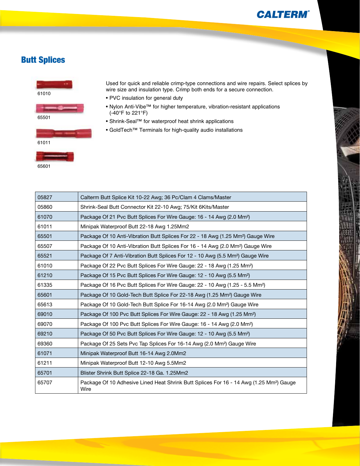## Butt Splices



Used for quick and reliable crimp-type connections and wire repairs. Select splices by wire size and insulation type. Crimp both ends for a secure connection.

- PVC insulation for general duty
- Nylon Anti-Vibe™ for higher temperature, vibration-resistant applications (-40°F to 221°F)
- Shrink-Seal™ for waterproof heat shrink applications
- GoldTech™ Terminals for high-quality audio installations

| 05827 | Calterm Butt Splice Kit 10-22 Awg; 36 Pc/Clam 4 Clams/Master                                                |
|-------|-------------------------------------------------------------------------------------------------------------|
| 05860 | Shrink-Seal Butt Connector Kit 22-10 Awg; 75/Kit 6Kits/Master                                               |
| 61070 | Package Of 21 Pvc Butt Splices For Wire Gauge: 16 - 14 Awg (2.0 Mm <sup>2</sup> )                           |
| 61011 | Minipak Waterproof Butt 22-18 Awg 1.25Mm2                                                                   |
| 65501 | Package Of 10 Anti-Vibration Butt Splices For 22 - 18 Awg (1.25 Mm <sup>2</sup> ) Gauge Wire                |
| 65507 | Package Of 10 Anti-Vibration Butt Splices For 16 - 14 Awg (2.0 Mm <sup>2</sup> ) Gauge Wire                 |
| 65521 | Package Of 7 Anti-Vibration Butt Splices For 12 - 10 Awg (5.5 Mm <sup>2</sup> ) Gauge Wire                  |
| 61010 | Package Of 22 Pvc Butt Splices For Wire Gauge: 22 - 18 Awg (1.25 Mm <sup>2</sup> )                          |
| 61210 | Package Of 15 Pvc Butt Splices For Wire Gauge: 12 - 10 Awg (5.5 Mm <sup>2</sup> )                           |
| 61335 | Package Of 16 Pvc Butt Splices For Wire Gauge: 22 - 10 Awg (1.25 - 5.5 Mm <sup>2</sup> )                    |
| 65601 | Package Of 10 Gold-Tech Butt Splice For 22-18 Awg (1.25 Mm <sup>2</sup> ) Gauge Wire                        |
| 65613 | Package Of 10 Gold-Tech Butt Splice For 16-14 Awg (2.0 Mm <sup>2</sup> ) Gauge Wire                         |
| 69010 | Package Of 100 Pvc Butt Splices For Wire Gauge: 22 - 18 Awg (1.25 Mm <sup>2</sup> )                         |
| 69070 | Package Of 100 Pvc Butt Splices For Wire Gauge: 16 - 14 Awg (2.0 Mm <sup>2</sup> )                          |
| 69210 | Package Of 50 Pvc Butt Splices For Wire Gauge: 12 - 10 Awg (5.5 Mm <sup>2</sup> )                           |
| 69360 | Package Of 25 Sets Pvc Tap Splices For 16-14 Awg (2.0 Mm <sup>2</sup> ) Gauge Wire                          |
| 61071 | Minipak Waterproof Butt 16-14 Awg 2.0Mm2                                                                    |
| 61211 | Minipak Waterproof Butt 12-10 Awg 5.5Mm2                                                                    |
| 65701 | Blister Shrink Butt Splice 22-18 Ga. 1.25Mm2                                                                |
| 65707 | Package Of 10 Adhesive Lined Heat Shrink Butt Splices For 16 - 14 Awg (1.25 Mm <sup>2</sup> ) Gauge<br>Wire |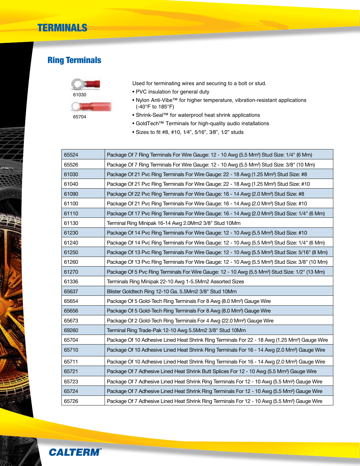# Ring Terminals



Used for terminating wires and securing to a bolt or stud.

- PVC insulation for general duty
- Nylon Anti-Vibe™ for higher temperature, vibration-resistant applications (-40°F to 185°F)
- Shrink-Seal™ for waterproof heat shrink applications
- GoldTech™ Terminals for high-quality audio installations
- Sizes to fit #8, #10, 1⁄4", 5⁄16", 3⁄8", 1⁄2" studs

| 65524 | Package Of 7 Ring Terminals For Wire Gauge: 12 - 10 Awg (5.5 Mm <sup>2</sup> ) Stud Size: 1/4" (6 Mm)       |
|-------|-------------------------------------------------------------------------------------------------------------|
| 65526 | Package Of 7 Ring Terminals For Wire Gauge: 12 - 10 Awg (5.5 Mm <sup>2</sup> ) Stud Size: 3/8" (10 Mm)      |
| 61030 | Package Of 21 Pvc Ring Terminals For Wire Gauge: 22 - 18 Awg (1.25 Mm <sup>2</sup> ) Stud Size: #8          |
| 61040 | Package Of 21 Pvc Ring Terminals For Wire Gauge: 22 - 18 Awg (1.25 Mm <sup>2</sup> ) Stud Size: #10         |
| 61090 | Package Of 22 Pvc Ring Terminals For Wire Gauge: 16 - 14 Awg (2.0 Mm <sup>2</sup> ) Stud Size: #8           |
| 61100 | Package Of 21 Pvc Ring Terminals For Wire Gauge: 16 - 14 Awg (2.0 Mm <sup>2</sup> ) Stud Size: #10          |
| 61110 | Package Of 17 Pvc Ring Terminals For Wire Gauge: 16 - 14 Awg (2.0 Mm <sup>2</sup> ) Stud Size: 1/4" (6 Mm)  |
| 61130 | Terminal Ring Minipak 16-14 Awg 2.0Mm2 3/8" Stud 10Mm                                                       |
| 61230 | Package Of 14 Pvc Ring Terminals For Wire Gauge: 12 - 10 Awg (5.5 Mm <sup>2</sup> ) Stud Size: #10          |
| 61240 | Package Of 14 Pvc Ring Terminals For Wire Gauge: 12 - 10 Awg (5.5 Mm <sup>2</sup> ) Stud Size: 1/4" (6 Mm)  |
| 61250 | Package Of 13 Pvc Ring Terminals For Wire Gauge: 12 - 10 Awg (5.5 Mm <sup>2</sup> ) Stud Size: 5/16" (8 Mm) |
| 61260 | Package Of 13 Pvc Ring Terminals For Wire Gauge: 12 - 10 Awg (5.5 Mm <sup>2</sup> ) Stud Size: 3/8" (10 Mm) |
| 61270 | Package Of 5 Pvc Ring Terminals For Wire Gauge: 12 - 10 Awg (5.5 Mm <sup>2</sup> ) Stud Size: 1/2" (13 Mm)  |
| 61336 | Terminals Ring Minipak 22-10 Awg 1-5.5Mm2 Assorted Sizes                                                    |
| 65637 | Blister Goldtech Ring 12-10 Ga. 5.5Mm2 3/8" Stud 10Mm                                                       |
| 65654 | Package Of 5 Gold-Tech Ring Terminals For 8 Awg (8.0 Mm <sup>2</sup> ) Gauge Wire                           |
| 65656 | Package Of 5 Gold-Tech Ring Terminals For 8 Awg (8.0 Mm <sup>2</sup> ) Gauge Wire                           |
| 65673 | Package Of 2 Gold-Tech Ring Terminals For 4 Awg (22.0 Mm <sup>2</sup> ) Gauge Wire                          |
| 69260 | Terminal Ring Trade-Pak 12-10 Awg 5.5Mm2 3/8" Stud 10Mm                                                     |
| 65704 | Package Of 10 Adhesive Lined Heat Shrink Ring Terminals For 22 - 18 Awg (1.25 Mm <sup>2</sup> ) Gauge Wire  |
| 65710 | Package Of 10 Adhesive Lined Heat Shrink Ring Terminals For 16 - 14 Awg (2.0 Mm <sup>2</sup> ) Gauge Wire   |
| 65711 | Package Of 10 Adhesive Lined Heat Shrink Ring Terminals For 16 - 14 Awg (2.0 Mm <sup>2</sup> ) Gauge Wire   |
| 65721 | Package Of 7 Adhesive Lined Heat Shrink Butt Splices For 12 - 10 Awg (5.5 Mm <sup>2</sup> ) Gauge Wire      |
| 65723 | Package Of 7 Adhesive Lined Heat Shrink Ring Terminals For 12 - 10 Awg (5.5 Mm <sup>2</sup> ) Gauge Wire    |
| 65724 | Package Of 7 Adhesive Lined Heat Shrink Ring Terminals For 12 - 10 Awg (5.5 Mm <sup>2</sup> ) Gauge Wire    |
| 65726 | Package Of 7 Adhesive Lined Heat Shrink Ring Terminals For 12 - 10 Awg (5.5 Mm <sup>2</sup> ) Gauge Wire    |

**CALTERM** 

**CONTROL** 

**CONSTRUCTION**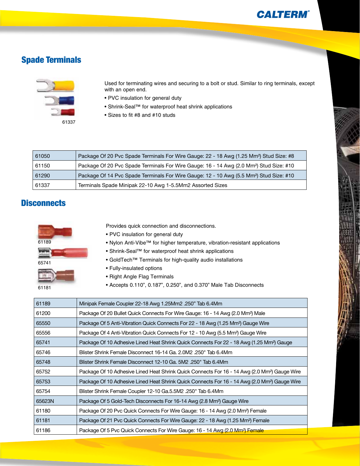## Spade Terminals



Used for terminating wires and securing to a bolt or stud. Similar to ring terminals, except with an open end.

- PVC insulation for general duty
- Shrink-Seal™ for waterproof heat shrink applications
- Sizes to fit #8 and #10 studs

| 61050 | Package Of 20 Pvc Spade Terminals For Wire Gauge: 22 - 18 Awg (1.25 Mm <sup>2</sup> ) Stud Size: #8 |
|-------|-----------------------------------------------------------------------------------------------------|
| 61150 | Package Of 20 Pvc Spade Terminals For Wire Gauge: 16 - 14 Awg (2.0 Mm <sup>2</sup> ) Stud Size: #10 |
| 61290 | Package Of 14 Pvc Spade Terminals For Wire Gauge: 12 - 10 Awg (5.5 Mm <sup>2</sup> ) Stud Size: #10 |
| 61337 | Terminals Spade Minipak 22-10 Awg 1-5.5Mm2 Assorted Sizes                                           |

### **Disconnects**



Provides quick connection and disconnections.

- PVC insulation for general duty
- Nylon Anti-Vibe™ for higher temperature, vibration-resistant applications
- Shrink-Seal™ for waterproof heat shrink applications
- GoldTech™ Terminals for high-quality audio installations
- Fully-insulated options
- Right Angle Flag Terminals
- Accepts 0.110", 0.187", 0.250", and 0.370" Male Tab Disconnects

| 61189  | Minipak Female Coupler 22-18 Awg 1.25Mm2 .250" Tab 6.4Mm                                                  |
|--------|-----------------------------------------------------------------------------------------------------------|
| 61200  | Package Of 20 Bullet Quick Connects For Wire Gauge: 16 - 14 Awg (2.0 Mm <sup>2</sup> ) Male               |
| 65550  | Package Of 5 Anti-Vibration Quick Connects For 22 - 18 Awg (1.25 Mm <sup>2</sup> ) Gauge Wire             |
| 65556  | Package Of 4 Anti-Vibration Quick Connects For 12 - 10 Awg (5.5 Mm <sup>2</sup> ) Gauge Wire              |
| 65741  | Package Of 10 Adhesive Lined Heat Shrink Quick Connects For 22 - 18 Awg (1.25 Mm <sup>2</sup> ) Gauge     |
| 65746  | Blister Shrink Female Disconnect 16-14 Ga. 2.0M2 .250" Tab 6.4Mm                                          |
| 65748  | Blister Shrink Female Disconnect 12-10 Ga. 5M2 .250" Tab 6.4Mm                                            |
| 65752  | Package Of 10 Adhesive Lined Heat Shrink Quick Connects For 16 - 14 Awg (2.0 Mm <sup>2</sup> ) Gauge Wire |
| 65753  | Package Of 10 Adhesive Lined Heat Shrink Quick Connects For 16 - 14 Awg (2.0 Mm <sup>2</sup> ) Gauge Wire |
| 65754  | Blister Shrink Female Coupler 12-10 Ga.5.5M2 .250" Tab 6.4Mm                                              |
| 65623N | Package Of 5 Gold-Tech Disconnects For 16-14 Awg (2.8 Mm <sup>2</sup> ) Gauge Wire                        |
| 61180  | Package Of 20 Pvc Quick Connects For Wire Gauge: 16 - 14 Awg (2.0 Mm <sup>2</sup> ) Female                |
| 61181  | Package Of 21 Pvc Quick Connects For Wire Gauge: 22 - 18 Awg (1.25 Mm <sup>2</sup> ) Female               |
| 61186  | Package Of 5 Pvc Quick Connects For Wire Gauge: 16 - 14 Awg (2.0 Mm <sup>2</sup> ) Female                 |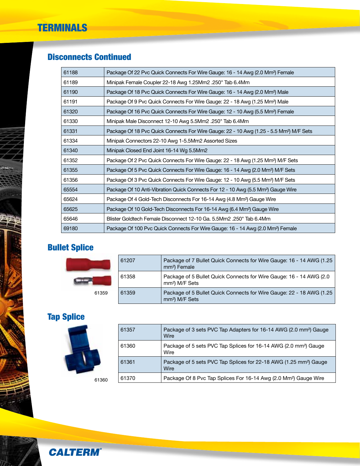## Disconnects Continued

| 61188 | Package Of 22 Pvc Quick Connects For Wire Gauge: 16 - 14 Awg (2.0 Mm <sup>2</sup> ) Female          |
|-------|-----------------------------------------------------------------------------------------------------|
| 61189 | Minipak Female Coupler 22-18 Awg 1.25Mm2.250" Tab 6.4Mm                                             |
| 61190 | Package Of 18 Pvc Quick Connects For Wire Gauge: 16 - 14 Awg (2.0 Mm <sup>2</sup> ) Male            |
| 61191 | Package Of 9 Pvc Quick Connects For Wire Gauge: 22 - 18 Awg (1.25 Mm <sup>2</sup> ) Male            |
| 61320 | Package Of 16 Pvc Quick Connects For Wire Gauge: 12 - 10 Awg (5.5 Mm <sup>2</sup> ) Female          |
| 61330 | Minipak Male Disconnect 12-10 Awg 5.5Mm2 .250" Tab 6.4Mm                                            |
| 61331 | Package Of 18 Pvc Quick Connects For Wire Gauge: 22 - 10 Awg (1.25 - 5.5 Mm <sup>2</sup> ) M/F Sets |
| 61334 | Minipak Connectors 22-10 Awg 1-5.5Mm2 Assorted Sizes                                                |
| 61340 | Minipak Closed End Joint 16-14 Wg 5.5Mm2                                                            |
| 61352 | Package Of 2 Pvc Quick Connects For Wire Gauge: 22 - 18 Awg (1.25 Mm <sup>2</sup> ) M/F Sets        |
| 61355 | Package Of 5 Pvc Quick Connects For Wire Gauge: 16 - 14 Awg (2.0 Mm <sup>2</sup> ) M/F Sets         |
| 61356 | Package Of 3 Pvc Quick Connects For Wire Gauge: 12 - 10 Awg (5.5 Mm <sup>2</sup> ) M/F Sets         |
| 65554 | Package Of 10 Anti-Vibration Quick Connects For 12 - 10 Awg (5.5 Mm <sup>2</sup> ) Gauge Wire       |
| 65624 | Package Of 4 Gold-Tech Disconnects For 16-14 Awg (4.8 Mm <sup>2</sup> ) Gauge Wire                  |
| 65625 | Package Of 10 Gold-Tech Disconnects For 16-14 Awg (6.4 Mm <sup>2</sup> ) Gauge Wire                 |
| 65646 | Blister Goldtech Female Disconnect 12-10 Ga. 5.5Mm2 .250" Tab 6.4Mm                                 |
| 69180 | Package Of 100 Pvc Quick Connects For Wire Gauge: 16 - 14 Awg (2.0 Mm <sup>2</sup> ) Female         |

# Bullet Splice

|       | 61207 | Package of 7 Bullet Quick Connects for Wire Gauge: 16 - 14 AWG (1.25<br>mm <sup>2</sup> ) Female   |
|-------|-------|----------------------------------------------------------------------------------------------------|
|       | 61358 | Package of 5 Bullet Quick Connects for Wire Gauge: 16 - 14 AWG (2.0)<br>mm <sup>2</sup> ) M/F Sets |
| 61359 | 61359 | Package of 5 Bullet Quick Connects for Wire Gauge: 22 - 18 AWG (1.25<br>mm <sup>2</sup> ) M/F Sets |

# Tap Splice



| 61357 | Package of 3 sets PVC Tap Adapters for 16-14 AWG (2.0 mm <sup>2</sup> ) Gauge<br>Wire |
|-------|---------------------------------------------------------------------------------------|
| 61360 | Package of 5 sets PVC Tap Splices for 16-14 AWG (2.0 mm <sup>2</sup> ) Gauge<br>Wire  |
| 61361 | Package of 5 sets PVC Tap Splices for 22-18 AWG (1.25 mm <sup>2</sup> ) Gauge<br>Wire |
| 61370 | Package Of 8 Pvc Tap Splices For 16-14 Awg (2.0 Mm <sup>2</sup> ) Gauge Wire          |

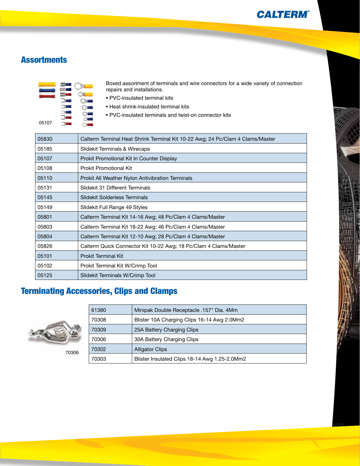### **Assortments**



Boxed assortment of terminals and wire connectors for a wide variety of connection repairs and installations.

- PVC-insulated terminal kits
- Heat shrink-insulated terminal kits
- PVC-insulated terminals and twist-on connector kits

| 05830 | Calterm Terminal Heat Shrink Terminal Kit 10-22 Awg; 24 Pc/Clam 4 Clams/Master |
|-------|--------------------------------------------------------------------------------|
| 05185 | Slidekit Terminals & Wirecaps                                                  |
| 05107 | Prokit Promotional Kit In Counter Display                                      |
| 05108 | Prokit Promotional Kit                                                         |
| 05110 | Prokit All Weather Nylon Antivibration Terminals                               |
| 05131 | Slidekit 31 Different Terminals                                                |
| 05145 | <b>Slidekit Solderless Terminals</b>                                           |
| 05149 | Slidekit Full Range 49 Styles                                                  |
| 05801 | Calterm Terminal Kit 14-16 Awg; 48 Pc/Clam 4 Clams/Master                      |
| 05803 | Calterm Terminal Kit 18-22 Awg; 46 Pc/Clam 4 Clams/Master                      |
| 05804 | Calterm Terminal Kit 12-10 Awg; 28 Pc/Clam 4 Clams/Master                      |
| 05826 | Calterm Quick Connector Kit 10-22 Awg; 18 Pc/Clam 4 Clams/Master               |
| 05101 | <b>Prokit Terminal Kit</b>                                                     |
| 05102 | Prokit Terminal Kit W/Crimp Tool                                               |
| 05125 | Slidekit Terminals W/Crimp Tool                                                |

# Terminating Accessories, Clips and Clamps



| 61380 | Minipak Double Receptacle .157" Dia. 4Mm      |
|-------|-----------------------------------------------|
| 70308 | Blister 10A Charging Clips 16-14 Awg 2.0Mm2   |
| 70309 | 25A Battery Charging Clips                    |
| 70306 | 30A Battery Charging Clips                    |
| 70302 | <b>Alligator Clips</b>                        |
| 70303 | Blister Insulated Clips 18-14 Awg 1.25-2.0Mm2 |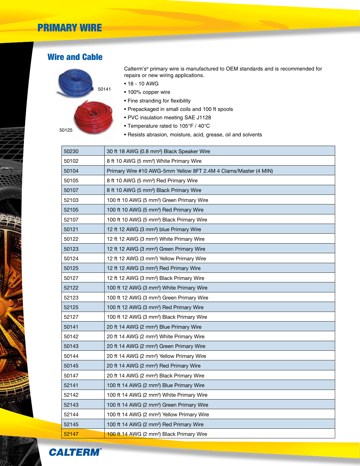## PRIMARY WIRE

### Wire and Cable



Calterm's® primary wire is manufactured to OEM standards and is recommended for repairs or new wiring applications.

- 18 10 AWG
- 100% copper wire
- Fine stranding for flexibility
- Prepackaged in small coils and 100 ft spools
- PVC insulation meeting SAE J1128
- Temperature rated to 105°F / 40°C
- Resists abrasion, moisture, acid, grease, oil and solvents

| 50230 | 30 ft 18 AWG (0.8 mm <sup>2</sup> ) Black Speaker Wire          |
|-------|-----------------------------------------------------------------|
| 50102 | 8 ft 10 AWG (5 mm <sup>2</sup> ) White Primary Wire             |
| 50104 | Primary Wire #10 AWG-5mm Yellow 8FT 2.4M 4 Clams/Master (4 MIN) |
| 50105 | 8 ft 10 AWG (5 mm <sup>2</sup> ) Red Primary Wire               |
| 50107 | 8 ft 10 AWG (5 mm <sup>2</sup> ) Black Primary Wire             |
| 52103 | 100 ft 10 AWG (5 mm <sup>2</sup> ) Green Primary Wire           |
| 52105 | 100 ft 10 AWG (5 mm <sup>2</sup> ) Red Primary Wire             |
| 52107 | 100 ft 10 AWG (5 mm <sup>2</sup> ) Black Primary Wire           |
| 50121 | 12 ft 12 AWG (3 mm <sup>2</sup> ) blue Primary Wire             |
| 50122 | 12 ft 12 AWG (3 mm <sup>2</sup> ) White Primary Wire            |
| 50123 | 12 ft 12 AWG (3 mm <sup>2</sup> ) Green Primary Wire            |
| 50124 | 12 ft 12 AWG (3 mm <sup>2</sup> ) Yellow Primary Wire           |
| 50125 | 12 ft 12 AWG (3 mm <sup>2</sup> ) Red Primary Wire              |
| 50127 | 12 ft 12 AWG (3 mm <sup>2</sup> ) Black Primary Wire            |
| 52122 | 100 ft 12 AWG (3 mm <sup>2</sup> ) White Primary Wire           |
| 52123 | 100 ft 12 AWG (3 mm <sup>2</sup> ) Green Primary Wire           |
| 52125 | 100 ft 12 AWG (3 mm <sup>2</sup> ) Red Primary Wire             |
| 52127 | 100 ft 12 AWG (3 mm <sup>2</sup> ) Black Primary Wire           |
| 50141 | 20 ft 14 AWG (2 mm <sup>2</sup> ) Blue Primary Wire             |
| 50142 | 20 ft 14 AWG (2 mm <sup>2</sup> ) White Primary Wire            |
| 50143 | 20 ft 14 AWG (2 mm <sup>2</sup> ) Green Primary Wire            |
| 50144 | 20 ft 14 AWG (2 mm <sup>2</sup> ) Yellow Primary Wire           |
| 50145 | 20 ft 14 AWG (2 mm <sup>2</sup> ) Red Primary Wire              |
| 50147 | 20 ft 14 AWG (2 mm <sup>2</sup> ) Black Primary Wire            |
| 52141 | 100 ft 14 AWG (2 mm <sup>2</sup> ) Blue Primary Wire            |
| 52142 | 100 ft 14 AWG (2 mm <sup>2</sup> ) White Primary Wire           |
| 52143 | 100 ft 14 AWG (2 mm <sup>2</sup> ) Green Primary Wire           |
| 52144 | 100 ft 14 AWG (2 mm <sup>2</sup> ) Yellow Primary Wire          |
| 52145 | 100 ft 14 AWG (2 mm <sup>2</sup> ) Red Primary Wire             |
| 52147 | 100 ft 14 AWG (2 mm <sup>2</sup> ) Black Primary Wire           |

**CALTERM®** 

**Contract Contract Contract Contract Contract Contract Contract Contract Contract Contract Contract Contract C** 

 $\tilde{\bm{\varsigma}}$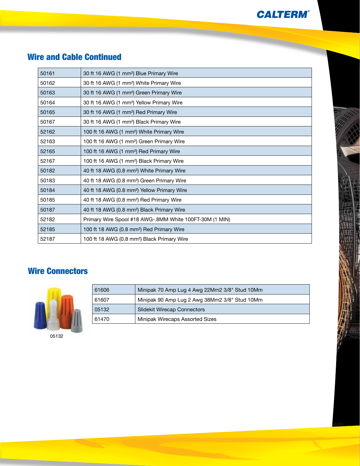## Wire and Cable Continued

| 50161 | 30 ft 16 AWG (1 mm <sup>2</sup> ) Blue Primary Wire     |
|-------|---------------------------------------------------------|
| 50162 | 30 ft 16 AWG (1 mm <sup>2</sup> ) White Primary Wire    |
| 50163 | 30 ft 16 AWG (1 mm <sup>2</sup> ) Green Primary Wire    |
| 50164 | 30 ft 16 AWG (1 mm <sup>2</sup> ) Yellow Primary Wire   |
| 50165 | 30 ft 16 AWG (1 mm <sup>2</sup> ) Red Primary Wire      |
| 50167 | 30 ft 16 AWG (1 mm <sup>2</sup> ) Black Primary Wire    |
| 52162 | 100 ft 16 AWG (1 mm <sup>2</sup> ) White Primary Wire   |
| 52163 | 100 ft 16 AWG (1 mm <sup>2</sup> ) Green Primary Wire   |
| 52165 | 100 ft 16 AWG (1 mm <sup>2</sup> ) Red Primary Wire     |
| 52167 | 100 ft 16 AWG (1 mm <sup>2</sup> ) Black Primary Wire   |
| 50182 | 40 ft 18 AWG (0.8 mm <sup>2</sup> ) White Primary Wire  |
| 50183 | 40 ft 18 AWG (0.8 mm <sup>2</sup> ) Green Primary Wire  |
| 50184 | 40 ft 18 AWG (0.8 mm <sup>2</sup> ) Yellow Primary Wire |
| 50185 | 40 ft 18 AWG (0.8 mm <sup>2</sup> ) Red Primary Wire    |
| 50187 | 40 ft 18 AWG (0.8 mm <sup>2</sup> ) Black Primary Wire  |
| 52182 | Primary Wire Spool #18 AWG-.8MM White 100FT-30M (1 MIN) |
| 52185 | 100 ft 18 AWG (0.8 mm <sup>2</sup> ) Red Primary Wire   |
| 52187 | 100 ft 18 AWG (0.8 mm <sup>2</sup> ) Black Primary Wire |

## Wire Connectors



| 61606 | Minipak 70 Amp Lug 4 Awg 22Mm2 3/8" Stud 10Mm |
|-------|-----------------------------------------------|
| 61607 | Minipak 90 Amp Lug 2 Awg 38Mm2 3/8" Stud 10Mm |
| 05132 | <b>Slidekit Wirecap Connectors</b>            |
| 61470 | Minipak Wirecaps Assorted Sizes               |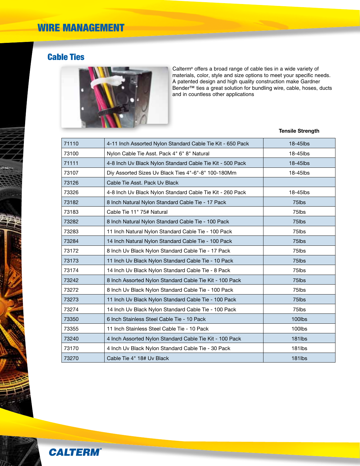## Cable Ties



Calterm® offers a broad range of cable ties in a wide variety of materials, color, style and size options to meet your specific needs. A patented design and high quality construction make Gardner Bender™ ties a great solution for bundling wire, cable, hoses, ducts and in countless other applications

#### **Tensile Strength**

| 71110 | 4-11 Inch Assorted Nylon Standard Cable Tie Kit - 650 Pack | 18-45lbs      |
|-------|------------------------------------------------------------|---------------|
| 73100 | Nylon Cable Tie Asst. Pack 4" 6" 8" Natural                | 18-45lbs      |
| 71111 | 4-8 Inch Uv Black Nylon Standard Cable Tie Kit - 500 Pack  | $18 - 45$ lbs |
| 73107 | Diy Assorted Sizes Uv Black Ties 4"-6"-8" 100-180Mm        | 18-45lbs      |
| 73126 | Cable Tie Asst. Pack Uv Black                              |               |
| 73326 | 4-8 Inch Uv Black Nylon Standard Cable Tie Kit - 260 Pack  | 18-45lbs      |
| 73182 | 8 Inch Natural Nylon Standard Cable Tie - 17 Pack          | 75lbs         |
| 73183 | Cable Tie 11" 75# Natural                                  | 75lbs         |
| 73282 | 8 Inch Natural Nylon Standard Cable Tie - 100 Pack         | 75lbs         |
| 73283 | 11 Inch Natural Nylon Standard Cable Tie - 100 Pack        | 75lbs         |
| 73284 | 14 Inch Natural Nylon Standard Cable Tie - 100 Pack        | 75lbs         |
| 73172 | 8 Inch Uv Black Nylon Standard Cable Tie - 17 Pack         | 75lbs         |
| 73173 | 11 Inch Uv Black Nylon Standard Cable Tie - 10 Pack        | 75lbs         |
| 73174 | 14 Inch Uv Black Nylon Standard Cable Tie - 8 Pack         | 75lbs         |
| 73242 | 8 Inch Assorted Nylon Standard Cable Tie Kit - 100 Pack    | 75lbs         |
| 73272 | 8 Inch Uv Black Nylon Standard Cable Tie - 100 Pack        | 75lbs         |
| 73273 | 11 Inch Uv Black Nylon Standard Cable Tie - 100 Pack       | 75lbs         |
| 73274 | 14 Inch Uv Black Nylon Standard Cable Tie - 100 Pack       | 75lbs         |
| 73350 | 6 Inch Stainless Steel Cable Tie - 10 Pack                 | 100lbs        |
| 73355 | 11 Inch Stainless Steel Cable Tie - 10 Pack                | 100lbs        |
| 73240 | 4 Inch Assorted Nylon Standard Cable Tie Kit - 100 Pack    | 181lbs        |
| 73170 | 4 Inch Uv Black Nylon Standard Cable Tie - 30 Pack         | 181lbs        |
| 73270 | Cable Tie 4" 18# Uv Black                                  | <b>181lbs</b> |

**Contractor** 

 $\tilde{\bm{\zeta}}$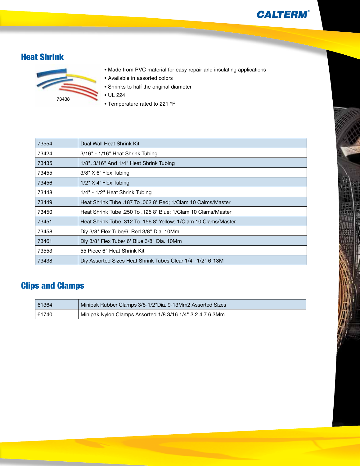## Heat Shrink



- Made from PVC material for easy repair and insulating applications
- Available in assorted colors
- Shrinks to half the original diameter
- UL 224
- Temperature rated to 221 °F

| 73554 | Dual Wall Heat Shrink Kit                                       |
|-------|-----------------------------------------------------------------|
| 73424 | 3/16" - 1/16" Heat Shrink Tubing                                |
| 73435 | 1/8", 3/16" And 1/4" Heat Shrink Tubing                         |
| 73455 | $3/8"$ X 6' Flex Tubing                                         |
| 73456 | $1/2$ " X 4' Flex Tubing                                        |
| 73448 | 1/4" - 1/2" Heat Shrink Tubing                                  |
| 73449 | Heat Shrink Tube .187 To .062 8' Red; 1/Clam 10 Calms/Master    |
| 73450 | Heat Shrink Tube .250 To .125 8' Blue; 1/Clam 10 Clams/Master   |
| 73451 | Heat Shrink Tube .312 To .156 8' Yellow; 1/Clam 10 Clams/Master |
| 73458 | Diy 3/8" Flex Tube/6' Red 3/8" Dia. 10Mm                        |
| 73461 | Diy 3/8" Flex Tube/ 6' Blue 3/8" Dia. 10Mm                      |
| 73553 | 55 Piece 6" Heat Shrink Kit                                     |
| 73438 | Diy Assorted Sizes Heat Shrink Tubes Clear 1/4"-1/2" 6-13M      |

## Clips and Clamps

| 61364 | Minipak Rubber Clamps 3/8-1/2"Dia. 9-13Mm2 Assorted Sizes |
|-------|-----------------------------------------------------------|
| 61740 | Minipak Nylon Clamps Assorted 1/8 3/16 1/4" 3.2 4.7 6.3Mm |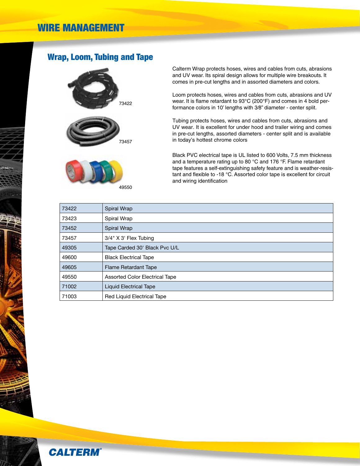### Wrap, Loom, Tubing and Tape







49550

Calterm Wrap protects hoses, wires and cables from cuts, abrasions and UV wear. Its spiral design allows for multiple wire breakouts. It comes in pre-cut lengths and in assorted diameters and colors.

Loom protects hoses, wires and cables from cuts, abrasions and UV wear. It is flame retardant to 93°C (200°F) and comes in 4 bold performance colors in 10' lengths with 3⁄8" diameter - center split.

Tubing protects hoses, wires and cables from cuts, abrasions and UV wear. It is excellent for under hood and trailer wiring and comes in pre-cut lengths, assorted diameters - center split and is available in today's hottest chrome colors

Black PVC electrical tape is UL listed to 600 Volts, 7.5 mm thickness and a temperature rating up to 80 °C and 176 °F. Flame retardant tape features a self-extinguishing safety feature and is weather-resistant and flexible to -18 °C. Assorted color tape is excellent for circuit and wiring identification

| 73422 | Spiral Wrap                           |
|-------|---------------------------------------|
| 73423 | Spiral Wrap                           |
| 73452 | Spiral Wrap                           |
| 73457 | 3/4" X 3' Flex Tubing                 |
| 49305 | Tape Carded 30' Black Pvc U/L         |
| 49600 | <b>Black Electrical Tape</b>          |
| 49605 | Flame Retardant Tape                  |
| 49550 | <b>Assorted Color Electrical Tape</b> |
| 71002 | <b>Liquid Electrical Tape</b>         |
| 71003 | <b>Red Liquid Electrical Tape</b>     |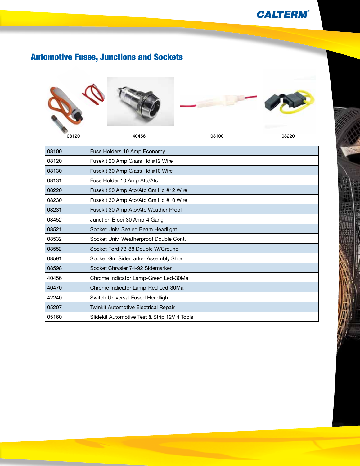# Automotive Fuses, Junctions and Sockets





40456 08100 08220



| 08100 | Fuse Holders 10 Amp Economy                  |
|-------|----------------------------------------------|
| 08120 | Fusekit 20 Amp Glass Hd #12 Wire             |
| 08130 | Fusekit 30 Amp Glass Hd #10 Wire             |
| 08131 | Fuse Holder 10 Amp Ato/Atc                   |
| 08220 | Fusekit 20 Amp Ato/Atc Gm Hd #12 Wire        |
| 08230 | Fusekit 30 Amp Ato/Atc Gm Hd #10 Wire        |
| 08231 | Fusekit 30 Amp Ato/Atc Weather-Proof         |
| 08452 | Junction Bloci-30 Amp-4 Gang                 |
| 08521 | Socket Univ. Sealed Beam Headlight           |
| 08532 | Socket Univ. Weatherproof Double Cont.       |
| 08552 | Socket Ford 73-88 Double W/Ground            |
| 08591 | Socket Gm Sidemarker Assembly Short          |
| 08598 | Socket Chrysler 74-92 Sidemarker             |
| 40456 | Chrome Indicator Lamp-Green Led-30Ma         |
| 40470 | Chrome Indicator Lamp-Red Led-30Ma           |
| 42240 | Switch Universal Fused Headlight             |
| 05207 | <b>Twinkit Automotive Electrical Repair</b>  |
| 05160 | Slidekit Automotive Test & Strip 12V 4 Tools |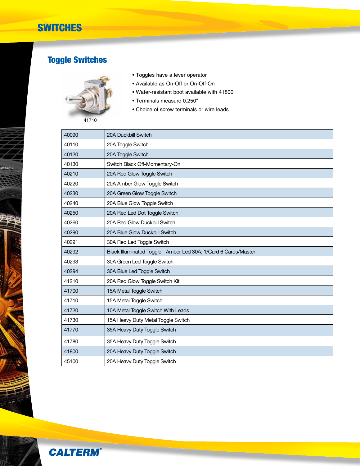## **SWITCHES**

# Toggle Switches



- Toggles have a lever operator
- Available as On-Off or On-Off-On
- Water-resistant boot available with 41800
- Terminals measure 0.250"
- Choice of screw terminals or wire leads

| 40090 | 20A Duckbill Switch                                             |
|-------|-----------------------------------------------------------------|
| 40110 | 20A Toggle Switch                                               |
| 40120 | 20A Toggle Switch                                               |
| 40130 | Switch Black Off-Momentary-On                                   |
| 40210 | 20A Red Glow Toggle Switch                                      |
| 40220 | 20A Amber Glow Toggle Switch                                    |
| 40230 | 20A Green Glow Toggle Switch                                    |
| 40240 | 20A Blue Glow Toggle Switch                                     |
| 40250 | 20A Red Led Dot Toggle Switch                                   |
| 40260 | 20A Red Glow Duckbill Switch                                    |
| 40290 | 20A Blue Glow Duckbill Switch                                   |
| 40291 | 30A Red Led Toggle Switch                                       |
| 40292 | Black Illuminated Toggle - Amber Led 30A; 1/Card 6 Cards/Master |
| 40293 | 30A Green Led Toggle Switch                                     |
| 40294 | 30A Blue Led Toggle Switch                                      |
| 41210 | 20A Red Glow Toggle Switch Kit                                  |
| 41700 | 15A Metal Toggle Switch                                         |
| 41710 | 15A Metal Toggle Switch                                         |
| 41720 | 10A Metal Toggle Switch With Leads                              |
| 41730 | 15A Heavy Duty Metal Toggle Switch                              |
| 41770 | 35A Heavy Duty Toggle Switch                                    |
| 41780 | 35A Heavy Duty Toggle Switch                                    |
| 41800 | 20A Heavy Duty Toggle Switch                                    |
| 45100 | 20A Heavy Duty Toggle Switch                                    |

**CALTERM®**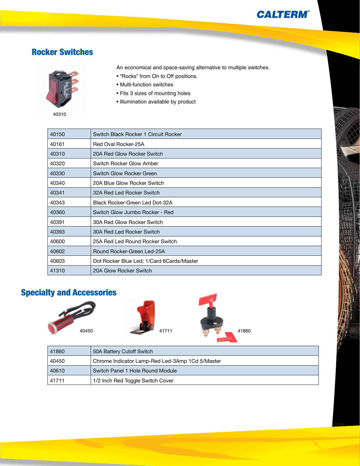### Rocker Switches



- An economical and space-saving alternative to multiple switches.
- "Rocks" from On to Off positions.
- Multi-function switches
- Fits 3 sizes of mounting holes
- Illumination available by product

| 40150 | Switch Black Rocker 1 Circuit Rocker      |
|-------|-------------------------------------------|
| 40161 | Red Oval Rocker-25A                       |
| 40310 | 20A Red Glow Rocker Switch                |
| 40320 | Switch Rocker Glow Amber                  |
| 40330 | Switch Glow Rocker Green                  |
| 40340 | 20A Blue Glow Rocker Switch               |
| 40341 | 32A Red Led Rocker Switch                 |
| 40343 | Black Rocker-Green Led Dot-32A            |
| 40360 | Switch Glow Jumbo Rocker - Red            |
| 40391 | 30A Red Glow Rocker Switch                |
| 40393 | 30A Red Led Rocker Switch                 |
| 40600 | 25A Red Led Round Rocker Switch           |
| 40602 | Round Rocker-Green Led-25A                |
| 40603 | Dot Rocker Blue Led; 1/Card 6Cards/Master |
| 41310 | 20A Glow Rocker Switch                    |

## Specialty and Accessories







| 41860 | 50A Battery Cutoff Switch                       |
|-------|-------------------------------------------------|
| 40450 | Chrome Indicator Lamp-Red Led-3Amp 1Cd 5/Master |
| 40610 | Switch Panel 1 Hole Round Module                |
| 41711 | 1/2 Inch Red Toggle Switch Cover                |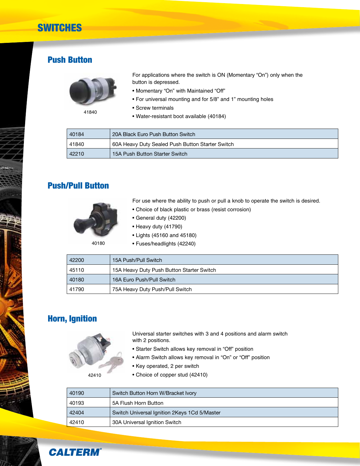## **SWITCHES**

### Push Button



For applications where the switch is ON (Momentary "On") only when the button is depressed.

- Momentary "On" with Maintained "Off"
- For universal mounting and for 5/8" and 1" mounting holes
- Screw terminals
- Water-resistant boot available (40184)

| 40184 | 20A Black Euro Push Button Switch                |
|-------|--------------------------------------------------|
| 41840 | 60A Heavy Duty Sealed Push Button Starter Switch |
| 42210 | 15A Push Button Starter Switch                   |

### Push/Pull Button



For use where the ability to push or pull a knob to operate the switch is desired.

- Choice of black plastic or brass (resist corrosion)
- General duty (42200)
- Heavy duty (41790)
- Lights (45160 and 45180)
- 40180
- Fuses/headlights (42240)  $\overline{AB}$  15A Push/Pull Switch

| 42200 | TOA PUSITPUILOWILCH                       |
|-------|-------------------------------------------|
| 45110 | 15A Heavy Duty Push Button Starter Switch |
| 40180 | 16A Euro Push/Pull Switch                 |
| 41790 | 75A Heavy Duty Push/Pull Switch           |

### Horn, Ignition

Universal starter switches with 3 and 4 positions and alarm switch with 2 positions.

- Starter Switch allows key removal in "Off" position
- Alarm Switch allows key removal in "On" or "Off" position
- Key operated, 2 per switch

42410

• Choice of copper stud (42410)

| 40190 | Switch Button Horn W/Bracket Ivory           |
|-------|----------------------------------------------|
| 40193 | 5A Flush Horn Button                         |
| 42404 | Switch Universal Ignition 2Keys 1Cd 5/Master |
| 42410 | 30A Universal Ignition Switch                |

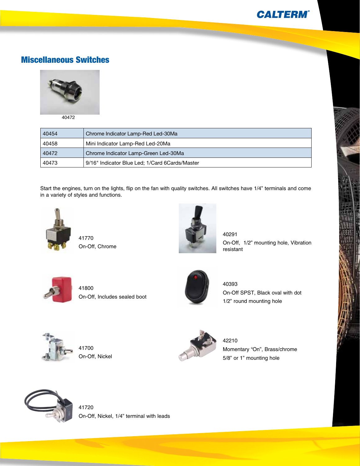### Miscellaneous Switches



40472

| 40454 | Chrome Indicator Lamp-Red Led-30Ma             |
|-------|------------------------------------------------|
| 40458 | Mini Indicator Lamp-Red Led-20Ma               |
| 40472 | Chrome Indicator Lamp-Green Led-30Ma           |
| 40473 | 9/16" Indicator Blue Led; 1/Card 6Cards/Master |

Start the engines, turn on the lights, flip on the fan with quality switches. All switches have 1/4" terminals and come in a variety of styles and functions.



41770 On-Off, Chrome



40291 On-Off, 1/2" mounting hole, Vibration resistant

'n



41800 On-Off, Includes sealed boot



40393

On-Off SPST, Black oval with dot 1/2" round mounting hole



41700 On-Off, Nickel



42210 Momentary "On", Brass/chrome 5/8" or 1" mounting hole



41720 On-Off, Nickel, 1/4" terminal with leads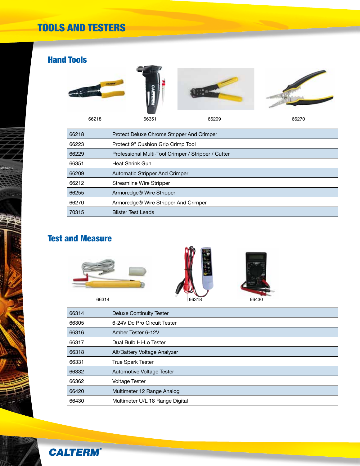# TOOLS AND TESTERS

## Hand Tools









66351 66209 66270

| 66218 | Protect Deluxe Chrome Stripper And Crimper          |  |  |
|-------|-----------------------------------------------------|--|--|
| 66223 | Protect 9" Cushion Grip Crimp Tool                  |  |  |
| 66229 | Professional Multi-Tool Crimper / Stripper / Cutter |  |  |
| 66351 | Heat Shrink Gun                                     |  |  |
| 66209 | <b>Automatic Stripper And Crimper</b>               |  |  |
| 66212 | Streamline Wire Stripper                            |  |  |
| 66255 | Armoredge® Wire Stripper                            |  |  |
| 66270 | Armoredge® Wire Stripper And Crimper                |  |  |
| 70315 | <b>Blister Test Leads</b>                           |  |  |

### Test and Measure



|  | 00100 |  |
|--|-------|--|

 Deluxe Continuity Tester 6-24V Dc Pro Circuit Tester Amber Tester 6-12V Dual Bulb Hi-Lo Tester Alt/Battery Voltage Analyzer True Spark Tester Automotive Voltage Tester Voltage Tester Multimeter 12 Range Analog Multimeter U/L 18 Range Digital

**CALTERM**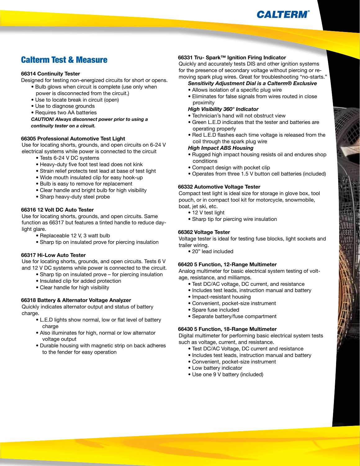

### Calterm Test & Measure

#### **66314 Continuity Tester**

Designed for testing non-energized circuits for short or opens.

- Bulb glows when circuit is complete (use only when power is disconnected from the circuit.)
- Use to locate break in circuit (open)
- Use to diagnose grounds
- Requires two AA batteries

*CAUTION! Always disconnect power prior to using a continuity tester on a circuit.* 

#### **66305 Professional Automotive Test Light**

Use for locating shorts, grounds, and open circuits on 6-24 V electrical systems while power is connected to the circuit

- Tests 6-24 V DC systems
- Heavy-duty five foot test lead does not kink
- Strain relief protects test lead at base of test light
- Wide mouth insulated clip for easy hook-up
- Bulb is easy to remove for replacement
- Clear handle and bright bulb for high visibility
- Sharp heavy-duty steel probe

### **66316 12 Volt DC Auto Tester**

Use for locating shorts, grounds, and open circuits. Same function as 66317 but features a tinted handle to reduce daylight glare.

- Replaceable 12 V, 3 watt bulb
- Sharp tip on insulated prove for piercing insulation

#### **66317 Hi-Low Auto Tester**

Use for locating shorts, grounds, and open circuits. Tests 6 V and 12 V DC systems while power is connected to the circuit.

- Sharp tip on insulated prove for piercing insulation
- Insulated clip for added protection
- Clear handle for high visibility

#### **66318 Battery & Alternator Voltage Analyzer**

Quickly indicates alternator output and status of battery charge.

- L.E.D lights show normal, low or flat level of battery charge
- Also illuminates for high, normal or low alternator voltage output
- Durable housing with magnetic strip on back adheres to the fender for easy operation

#### **66331 Tru- Spark™ Ignition Firing Indicator**

Quickly and accurately tests DIS and other ignition systems for the presence of secondary voltage without piercing or removing spark plug wires. Great for troubleshooting "no-starts."

### *Sensitivity Adjustment Dial is a Calterm® Exclusive*

- Allows isolation of a specific plug wire
- Eliminates for false signals from wires routed in close proximity

#### *High Visibility 360° Indicator*

- Technician's hand will not obstruct view
- Green L.E.D indicates that the tester and batteries are operating properly
- Red L.E.D flashes each time voltage is released from the coil through the spark plug wire

#### *High Impact ABS Housing*

- Rugged high impact housing resists oil and endures shop conditions
- Compact design with pocket clip
- Operates from three 1.5 V button cell batteries (included)

#### **66332 Automotive Voltage Tester**

Compact test light is ideal size for storage in glove box, tool pouch, or in compact tool kit for motorcycle, snowmobile, boat, jet ski, etc.

- 12 V test light
- Sharp tip for piercing wire insulation

#### **66362 Voltage Tester**

Voltage tester is ideal for testing fuse blocks, light sockets and trailer wiring.

 • 20" lead included

#### **66420 5 Function, 12-Range Multimeter**

Analog multimeter for basic electrical system testing of voltage, resistance, and milliamps.

- Test DC/AC voltage, DC current, and resistance
- Includes test leads, instruction manual and battery
- Impact-resistant housing
- Convenient, pocket-size instrument
- Spare fuse included
- Separate battery/fuse compartment

#### **66430 5 Function, 18-Range Multimeter**

Digital multimeter for performing basic electrical system tests such as voltage, current, and resistance.

- Test DC/AC Voltage, DC current and resistance
- Includes test leads, instruction manual and battery
- Convenient, pocket-size instrument
- Low battery indicator
- Use one 9 V battery (included)